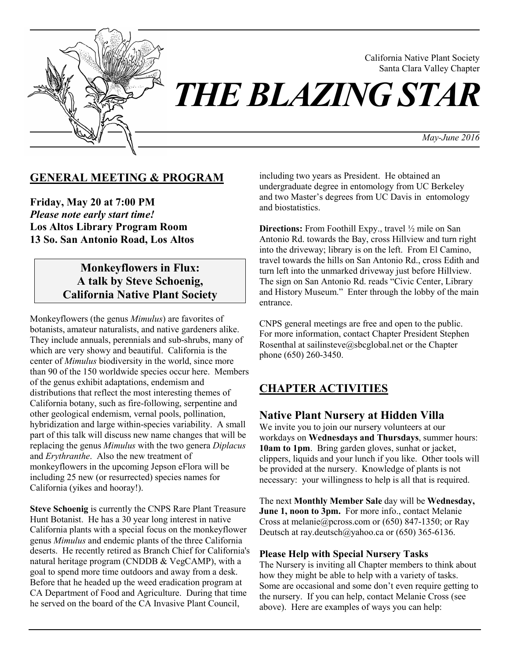

California Native Plant Society Santa Clara Valley Chapter

*May-June 2016*

## **GENERAL MEETING & PROGRAM**

**Friday, May 20 at 7:00 PM**  *Please note early start time!*  **Los Altos Library Program Room 13 So. San Antonio Road, Los Altos**

# **Monkeyflowers in Flux: A talk by Steve Schoenig, California Native Plant Society**

Monkeyflowers (the genus *Mimulus*) are favorites of botanists, amateur naturalists, and native gardeners alike. They include annuals, perennials and sub-shrubs, many of which are very showy and beautiful. California is the center of *Mimulus* biodiversity in the world, since more than 90 of the 150 worldwide species occur here. Members of the genus exhibit adaptations, endemism and distributions that reflect the most interesting themes of California botany, such as fire-following, serpentine and other geological endemism, vernal pools, pollination, hybridization and large within-species variability. A small part of this talk will discuss new name changes that will be replacing the genus *Mimulus* with the two genera *Diplacus* and *Erythranthe*. Also the new treatment of monkeyflowers in the upcoming Jepson eFlora will be including 25 new (or resurrected) species names for California (yikes and hooray!).

**Steve Schoenig** is currently the CNPS Rare Plant Treasure Hunt Botanist. He has a 30 year long interest in native California plants with a special focus on the monkeyflower genus *Mimulus* and endemic plants of the three California deserts. He recently retired as Branch Chief for California's natural heritage program (CNDDB & VegCAMP), with a goal to spend more time outdoors and away from a desk. Before that he headed up the weed eradication program at CA Department of Food and Agriculture. During that time he served on the board of the CA Invasive Plant Council,

including two years as President. He obtained an undergraduate degree in entomology from UC Berkeley and two Master's degrees from UC Davis in entomology and biostatistics.

**Directions:** From Foothill Expy., travel  $\frac{1}{2}$  mile on San Antonio Rd. towards the Bay, cross Hillview and turn right into the driveway; library is on the left. From El Camino, travel towards the hills on San Antonio Rd., cross Edith and turn left into the unmarked driveway just before Hillview. The sign on San Antonio Rd. reads "Civic Center, Library and History Museum." Enter through the lobby of the main entrance.

CNPS general meetings are free and open to the public. For more information, contact Chapter President Stephen Rosenthal at sailinsteve@sbcglobal.net or the Chapter phone (650) 260-3450.

# **CHAPTER ACTIVITIES**

## **Native Plant Nursery at Hidden Villa**

We invite you to join our nursery volunteers at our workdays on **Wednesdays and Thursdays**, summer hours: **10am to 1pm**. Bring garden gloves, sunhat or jacket, clippers, liquids and your lunch if you like. Other tools will be provided at the nursery. Knowledge of plants is not necessary: your willingness to help is all that is required.

The next **Monthly Member Sale** day will be **Wednesday, June 1, noon to 3pm.** For more info., contact Melanie Cross at melanie@pcross.com or (650) 847-1350; or Ray Deutsch at ray.deutsch@yahoo.ca or (650) 365-6136.

#### **Please Help with Special Nursery Tasks**

The Nursery is inviting all Chapter members to think about how they might be able to help with a variety of tasks. Some are occasional and some don't even require getting to the nursery. If you can help, contact Melanie Cross (see above). Here are examples of ways you can help: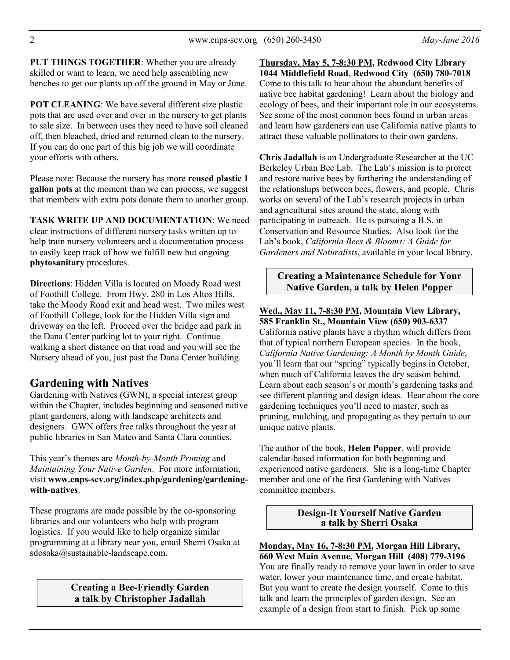**PUT THINGS TOGETHER**: Whether you are already skilled or want to learn, we need help assembling new benches to get our plants up off the ground in May or June.

**POT CLEANING:** We have several different size plastic pots that are used over and over in the nursery to get plants to sale size. In between uses they need to have soil cleaned off, then bleached, dried and returned clean to the nursery. If you can do one part of this big job we will coordinate your efforts with others.

Please note: Because the nursery has more **reused plastic 1 gallon pots** at the moment than we can process, we suggest that members with extra pots donate them to another group.

**TASK WRITE UP AND DOCUMENTATION**: We need clear instructions of different nursery tasks written up to help train nursery volunteers and a documentation process to easily keep track of how we fulfill new but ongoing **phytosanitary** procedures.

**Directions**: Hidden Villa is located on Moody Road west of Foothill College. From Hwy. 280 in Los Altos Hills, take the Moody Road exit and head west. Two miles west of Foothill College, look for the Hidden Villa sign and driveway on the left. Proceed over the bridge and park in the Dana Center parking lot to your right. Continue walking a short distance on that road and you will see the Nursery ahead of you, just past the Dana Center building.

# **Gardening with Natives**

Gardening with Natives (GWN), a special interest group within the Chapter, includes beginning and seasoned native plant gardeners, along with landscape architects and designers. GWN offers free talks throughout the year at public libraries in San Mateo and Santa Clara counties.

This year's themes are *Month-by-Month Pruning* and *Maintaining Your Native Garden*. For more information, visit **www.cnps-scv.org/index.php/gardening/gardeningwith-natives**.

These programs are made possible by the co-sponsoring libraries and our volunteers who help with program logistics. If you would like to help organize similar programming at a library near you, email Sherri Osaka at sdosaka@sustainable-landscape.com.

## **Creating a Bee-Friendly Garden a talk by Christopher Jadallah**

**Thursday, May 5, 7-8:30 PM, Redwood City Library 1044 Middlefield Road, Redwood City (650) 780-7018** Come to this talk to hear about the abundant benefits of native bee habitat gardening! Learn about the biology and ecology of bees, and their important role in our ecosystems. See some of the most common bees found in urban areas and learn how gardeners can use California native plants to attract these valuable pollinators to their own gardens.

**Chris Jadallah** is an Undergraduate Researcher at the UC Berkeley Urban Bee Lab. The Lab's mission is to protect and restore native bees by furthering the understanding of the relationships between bees, flowers, and people. Chris works on several of the Lab's research projects in urban and agricultural sites around the state, along with participating in outreach. He is pursuing a B.S. in Conservation and Resource Studies. Also look for the Lab's book, *California Bees & Blooms: A Guide for Gardeners and Naturalists*, available in your local library.

## **Creating a Maintenance Schedule for Your Native Garden, a talk by Helen Popper**

**Wed., May 11, 7-8:30 PM, Mountain View Library, 585 Franklin St., Mountain View (650) 903-6337**  California native plants have a rhythm which differs from that of typical northern European species. In the book, *California Native Gardening: A Month by Month Guide*, you'll learn that our "spring" typically begins in October, when much of California leaves the dry season behind. Learn about each season's or month's gardening tasks and see different planting and design ideas. Hear about the core gardening techniques you'll need to master, such as pruning, mulching, and propagating as they pertain to our unique native plants.

The author of the book, **Helen Popper**, will provide calendar-based information for both beginning and experienced native gardeners. She is a long-time Chapter member and one of the first Gardening with Natives committee members.

> **Design-It Yourself Native Garden a talk by Sherri Osaka**

**Monday, May 16, 7-8:30 PM, Morgan Hill Library, 660 West Main Avenue, Morgan Hill (408) 779-3196**  You are finally ready to remove your lawn in order to save water, lower your maintenance time, and create habitat. But you want to create the design yourself. Come to this talk and learn the principles of garden design. See an example of a design from start to finish. Pick up some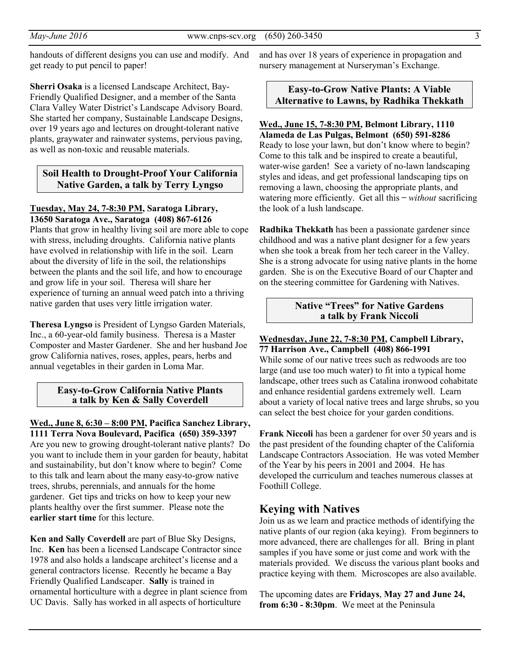handouts of different designs you can use and modify. And get ready to put pencil to paper!

**Sherri Osaka** is a licensed Landscape Architect, Bay-Friendly Qualified Designer, and a member of the Santa Clara Valley Water District's Landscape Advisory Board. She started her company, Sustainable Landscape Designs, over 19 years ago and lectures on drought-tolerant native plants, graywater and rainwater systems, pervious paving, as well as non-toxic and reusable materials.

## **Soil Health to Drought-Proof Your California Native Garden, a talk by Terry Lyngso**

**Tuesday, May 24, 7-8:30 PM, Saratoga Library, 13650 Saratoga Ave., Saratoga (408) 867-6126** 

Plants that grow in healthy living soil are more able to cope with stress, including droughts. California native plants have evolved in relationship with life in the soil. Learn about the diversity of life in the soil, the relationships between the plants and the soil life, and how to encourage and grow life in your soil. Theresa will share her experience of turning an annual weed patch into a thriving native garden that uses very little irrigation water.

**Theresa Lyngso** is President of Lyngso Garden Materials, Inc., a 60-year-old family business. Theresa is a Master Composter and Master Gardener. She and her husband Joe grow California natives, roses, apples, pears, herbs and annual vegetables in their garden in Loma Mar.

#### **Easy-to-Grow California Native Plants a talk by Ken & Sally Coverdell**

**Wed., June 8, 6:30 – 8:00 PM, Pacifica Sanchez Library, 1111 Terra Nova Boulevard, Pacifica (650) 359-3397** Are you new to growing drought-tolerant native plants? Do you want to include them in your garden for beauty, habitat and sustainability, but don't know where to begin? Come to this talk and learn about the many easy-to-grow native trees, shrubs, perennials, and annuals for the home gardener. Get tips and tricks on how to keep your new plants healthy over the first summer. Please note the **earlier start time** for this lecture.

**Ken and Sally Coverdell** are part of Blue Sky Designs, Inc. **Ken** has been a licensed Landscape Contractor since 1978 and also holds a landscape architect's license and a general contractors license. Recently he became a Bay Friendly Qualified Landscaper. **Sally** is trained in ornamental horticulture with a degree in plant science from UC Davis. Sally has worked in all aspects of horticulture

and has over 18 years of experience in propagation and nursery management at Nurseryman's Exchange.

## **Easy-to-Grow Native Plants: A Viable Alternative to Lawns, by Radhika Thekkath**

# **Wed., June 15, 7-8:30 PM, Belmont Library, 1110**

**Alameda de Las Pulgas, Belmont (650) 591-8286**  Ready to lose your lawn, but don't know where to begin? Come to this talk and be inspired to create a beautiful, water-wise garden! See a variety of no-lawn landscaping styles and ideas, and get professional landscaping tips on removing a lawn, choosing the appropriate plants, and watering more efficiently. Get all this – *without* sacrificing the look of a lush landscape.

**Radhika Thekkath** has been a passionate gardener since childhood and was a native plant designer for a few years when she took a break from her tech career in the Valley. She is a strong advocate for using native plants in the home garden. She is on the Executive Board of our Chapter and on the steering committee for Gardening with Natives.

#### **Native "Trees" for Native Gardens a talk by Frank Niccoli**

#### **Wednesday, June 22, 7-8:30 PM, Campbell Library, 77 Harrison Ave., Campbell (408) 866-1991**

While some of our native trees such as redwoods are too large (and use too much water) to fit into a typical home landscape, other trees such as Catalina ironwood cohabitate and enhance residential gardens extremely well. Learn about a variety of local native trees and large shrubs, so you can select the best choice for your garden conditions.

**Frank Niccoli** has been a gardener for over 50 years and is the past president of the founding chapter of the California Landscape Contractors Association. He was voted Member of the Year by his peers in 2001 and 2004. He has developed the curriculum and teaches numerous classes at Foothill College.

# **Keying with Natives**

Join us as we learn and practice methods of identifying the native plants of our region (aka keying). From beginners to more advanced, there are challenges for all. Bring in plant samples if you have some or just come and work with the materials provided. We discuss the various plant books and practice keying with them. Microscopes are also available.

The upcoming dates are **Fridays**, **May 27 and June 24, from 6:30 - 8:30pm**. We meet at the Peninsula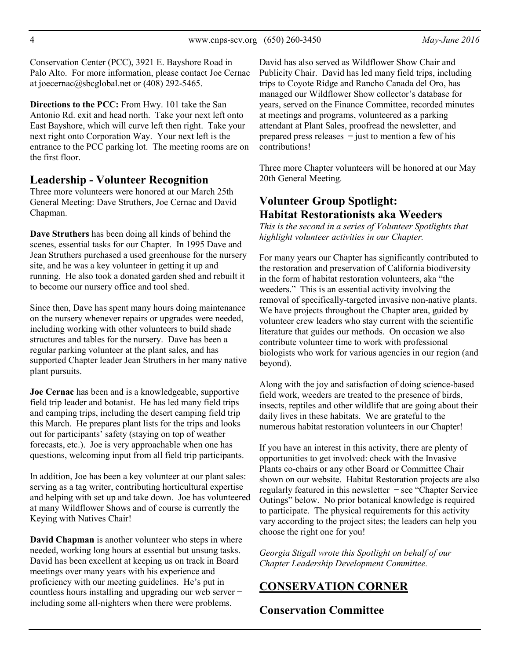Conservation Center (PCC), 3921 E. Bayshore Road in Palo Alto. For more information, please contact Joe Cernac at joecernac@sbcglobal.net or (408) 292-5465.

**Directions to the PCC:** From Hwy. 101 take the San Antonio Rd. exit and head north. Take your next left onto East Bayshore, which will curve left then right. Take your next right onto Corporation Way. Your next left is the entrance to the PCC parking lot. The meeting rooms are on the first floor.

## **Leadership - Volunteer Recognition**

Three more volunteers were honored at our March 25th General Meeting: Dave Struthers, Joe Cernac and David Chapman.

**Dave Struthers** has been doing all kinds of behind the scenes, essential tasks for our Chapter. In 1995 Dave and Jean Struthers purchased a used greenhouse for the nursery site, and he was a key volunteer in getting it up and running. He also took a donated garden shed and rebuilt it to become our nursery office and tool shed.

Since then, Dave has spent many hours doing maintenance on the nursery whenever repairs or upgrades were needed, including working with other volunteers to build shade structures and tables for the nursery. Dave has been a regular parking volunteer at the plant sales, and has supported Chapter leader Jean Struthers in her many native plant pursuits.

**Joe Cernac** has been and is a knowledgeable, supportive field trip leader and botanist. He has led many field trips and camping trips, including the desert camping field trip this March. He prepares plant lists for the trips and looks out for participants' safety (staying on top of weather forecasts, etc.). Joe is very approachable when one has questions, welcoming input from all field trip participants.

In addition, Joe has been a key volunteer at our plant sales: serving as a tag writer, contributing horticultural expertise and helping with set up and take down. Joe has volunteered at many Wildflower Shows and of course is currently the Keying with Natives Chair!

**David Chapman** is another volunteer who steps in where needed, working long hours at essential but unsung tasks. David has been excellent at keeping us on track in Board meetings over many years with his experience and proficiency with our meeting guidelines. He's put in countless hours installing and upgrading our web server ̶ including some all-nighters when there were problems.

David has also served as Wildflower Show Chair and Publicity Chair. David has led many field trips, including trips to Coyote Ridge and Rancho Canada del Oro, has managed our Wildflower Show collector's database for years, served on the Finance Committee, recorded minutes at meetings and programs, volunteered as a parking attendant at Plant Sales, proofread the newsletter, and prepared press releases  $-$  just to mention a few of his contributions!

Three more Chapter volunteers will be honored at our May 20th General Meeting.

# **Volunteer Group Spotlight: Habitat Restorationists aka Weeders**

*This is the second in a series of Volunteer Spotlights that highlight volunteer activities in our Chapter.*

For many years our Chapter has significantly contributed to the restoration and preservation of California biodiversity in the form of habitat restoration volunteers, aka "the weeders." This is an essential activity involving the removal of specifically-targeted invasive non-native plants. We have projects throughout the Chapter area, guided by volunteer crew leaders who stay current with the scientific literature that guides our methods. On occasion we also contribute volunteer time to work with professional biologists who work for various agencies in our region (and beyond).

Along with the joy and satisfaction of doing science-based field work, weeders are treated to the presence of birds, insects, reptiles and other wildlife that are going about their daily lives in these habitats. We are grateful to the numerous habitat restoration volunteers in our Chapter!

If you have an interest in this activity, there are plenty of opportunities to get involved: check with the Invasive Plants co-chairs or any other Board or Committee Chair shown on our website. Habitat Restoration projects are also regularly featured in this newsletter  $-$  see "Chapter Service" Outings" below. No prior botanical knowledge is required to participate. The physical requirements for this activity vary according to the project sites; the leaders can help you choose the right one for you!

*Georgia Stigall wrote this Spotlight on behalf of our Chapter Leadership Development Committee.* 

# **CONSERVATION CORNER**

# **Conservation Committee**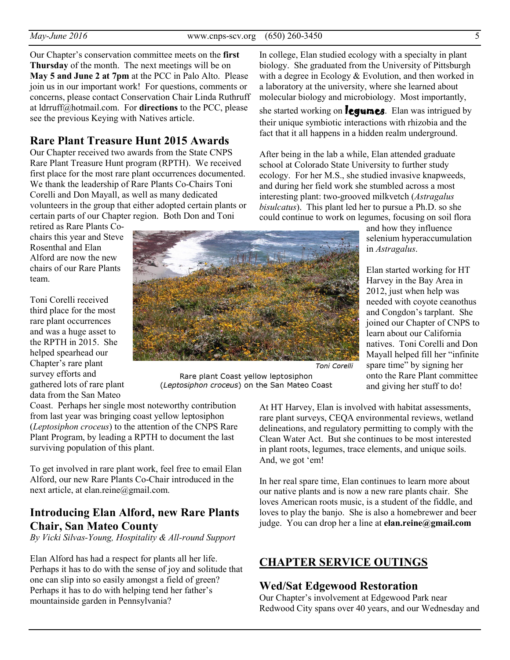Our Chapter's conservation committee meets on the **first Thursday** of the month. The next meetings will be on **May 5 and June 2 at 7pm** at the PCC in Palo Alto. Please join us in our important work! For questions, comments or concerns, please contact Conservation Chair Linda Ruthruff at ldrruff@hotmail.com. For **directions** to the PCC, please see the previous Keying with Natives article.

## **Rare Plant Treasure Hunt 2015 Awards**

Our Chapter received two awards from the State CNPS Rare Plant Treasure Hunt program (RPTH). We received first place for the most rare plant occurrences documented. We thank the leadership of Rare Plants Co-Chairs Toni Corelli and Don Mayall, as well as many dedicated volunteers in the group that either adopted certain plants or certain parts of our Chapter region. Both Don and Toni

retired as Rare Plants Cochairs this year and Steve Rosenthal and Elan Alford are now the new chairs of our Rare Plants team.

Toni Corelli received third place for the most rare plant occurrences and was a huge asset to the RPTH in 2015. She helped spearhead our Chapter's rare plant survey efforts and gathered lots of rare plant data from the San Mateo



Rare plant Coast yellow leptosiphon (Leptosiphon croceus) on the San Mateo Coast

Coast. Perhaps her single most noteworthy contribution from last year was bringing coast yellow leptosiphon (*Leptosiphon croceus*) to the attention of the CNPS Rare Plant Program, by leading a RPTH to document the last surviving population of this plant.

To get involved in rare plant work, feel free to email Elan Alford, our new Rare Plants Co-Chair introduced in the next article, at elan.reine@gmail.com.

# **Introducing Elan Alford, new Rare Plants Chair, San Mateo County**

*By Vicki Silvas-Young, Hospitality & All-round Support* 

Elan Alford has had a respect for plants all her life. Perhaps it has to do with the sense of joy and solitude that one can slip into so easily amongst a field of green? Perhaps it has to do with helping tend her father's mountainside garden in Pennsylvania?

In college, Elan studied ecology with a specialty in plant biology. She graduated from the University of Pittsburgh with a degree in Ecology & Evolution, and then worked in a laboratory at the university, where she learned about molecular biology and microbiology. Most importantly,

she started working on **legumes**. Elan was intrigued by their unique symbiotic interactions with rhizobia and the fact that it all happens in a hidden realm underground.

After being in the lab a while, Elan attended graduate school at Colorado State University to further study ecology. For her M.S., she studied invasive knapweeds, and during her field work she stumbled across a most interesting plant: two-grooved milkvetch (*Astragalus bisulcatus*). This plant led her to pursue a Ph.D. so she could continue to work on legumes, focusing on soil flora

> and how they influence selenium hyperaccumulation in *Astragalus*.

Elan started working for HT Harvey in the Bay Area in 2012, just when help was needed with coyote ceanothus and Congdon's tarplant. She joined our Chapter of CNPS to learn about our California natives. Toni Corelli and Don Mayall helped fill her "infinite spare time" by signing her onto the Rare Plant committee and giving her stuff to do!

Toni Corelli

At HT Harvey, Elan is involved with habitat assessments, rare plant surveys, CEQA environmental reviews, wetland delineations, and regulatory permitting to comply with the Clean Water Act. But she continues to be most interested in plant roots, legumes, trace elements, and unique soils. And, we got 'em!

In her real spare time, Elan continues to learn more about our native plants and is now a new rare plants chair. She loves American roots music, is a student of the fiddle, and loves to play the banjo. She is also a homebrewer and beer judge. You can drop her a line at **elan.reine@gmail.com**

# **CHAPTER SERVICE OUTINGS**

#### **Wed/Sat Edgewood Restoration**

Our Chapter's involvement at Edgewood Park near Redwood City spans over 40 years, and our Wednesday and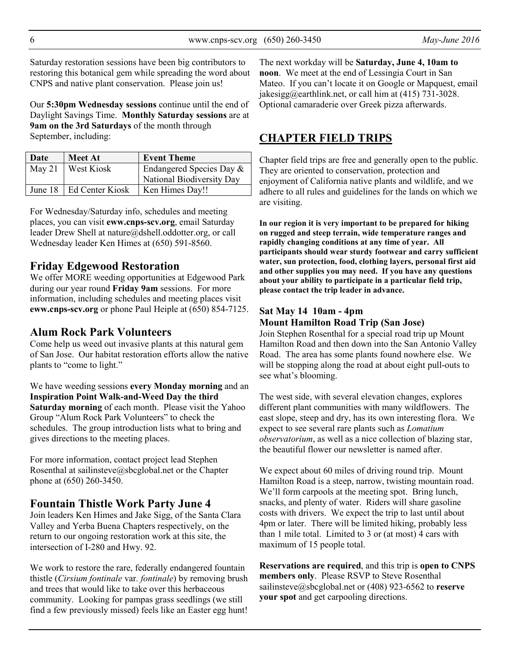Saturday restoration sessions have been big contributors to restoring this botanical gem while spreading the word about CNPS and native plant conservation. Please join us!

Our **5:30pm Wednesday sessions** continue until the end of Daylight Savings Time. **Monthly Saturday sessions** are at **9am on the 3rd Saturdays** of the month through September, including:

| Date | <b>Meet At</b>            | <b>Event Theme</b>        |  |
|------|---------------------------|---------------------------|--|
|      | May 21   West Kiosk       | Endangered Species Day &  |  |
|      |                           | National Biodiversity Day |  |
|      | June 18   Ed Center Kiosk | Ken Himes Day!!           |  |

For Wednesday/Saturday info, schedules and meeting places, you can visit **eww.cnps-scv.org**, email Saturday leader Drew Shell at nature@dshell.oddotter.org, or call Wednesday leader Ken Himes at (650) 591-8560.

# **Friday Edgewood Restoration**

We offer MORE weeding opportunities at Edgewood Park during our year round **Friday 9am** sessions. For more information, including schedules and meeting places visit **eww.cnps-scv.org** or phone Paul Heiple at (650) 854-7125.

# **Alum Rock Park Volunteers**

Come help us weed out invasive plants at this natural gem of San Jose. Our habitat restoration efforts allow the native plants to "come to light."

We have weeding sessions **every Monday morning** and an **Inspiration Point Walk-and-Weed Day the third Saturday morning** of each month. Please visit the Yahoo Group "Alum Rock Park Volunteers" to check the schedules. The group introduction lists what to bring and gives directions to the meeting places.

For more information, contact project lead Stephen Rosenthal at sailinsteve@sbcglobal.net or the Chapter phone at (650) 260-3450.

## **Fountain Thistle Work Party June 4**

Join leaders Ken Himes and Jake Sigg, of the Santa Clara Valley and Yerba Buena Chapters respectively, on the return to our ongoing restoration work at this site, the intersection of I-280 and Hwy. 92.

We work to restore the rare, federally endangered fountain thistle (*Cirsium fontinale* var*. fontinale*) by removing brush and trees that would like to take over this herbaceous community. Looking for pampas grass seedlings (we still find a few previously missed) feels like an Easter egg hunt!

The next workday will be **Saturday, June 4, 10am to noon**. We meet at the end of Lessingia Court in San Mateo. If you can't locate it on Google or Mapquest, email jakesigg@earthlink.net, or call him at (415) 731-3028. Optional camaraderie over Greek pizza afterwards.

# **CHAPTER FIELD TRIPS**

Chapter field trips are free and generally open to the public. They are oriented to conservation, protection and enjoyment of California native plants and wildlife, and we adhere to all rules and guidelines for the lands on which we are visiting.

**In our region it is very important to be prepared for hiking on rugged and steep terrain, wide temperature ranges and rapidly changing conditions at any time of year. All participants should wear sturdy footwear and carry sufficient water, sun protection, food, clothing layers, personal first aid and other supplies you may need. If you have any questions about your ability to participate in a particular field trip, please contact the trip leader in advance.** 

#### **Sat May 14 10am - 4pm Mount Hamilton Road Trip (San Jose)**

Join Stephen Rosenthal for a special road trip up Mount Hamilton Road and then down into the San Antonio Valley Road. The area has some plants found nowhere else. We will be stopping along the road at about eight pull-outs to see what's blooming.

The west side, with several elevation changes, explores different plant communities with many wildflowers. The east slope, steep and dry, has its own interesting flora. We expect to see several rare plants such as *Lomatium observatorium*, as well as a nice collection of blazing star, the beautiful flower our newsletter is named after.

We expect about 60 miles of driving round trip. Mount Hamilton Road is a steep, narrow, twisting mountain road. We'll form carpools at the meeting spot. Bring lunch, snacks, and plenty of water. Riders will share gasoline costs with drivers. We expect the trip to last until about 4pm or later. There will be limited hiking, probably less than 1 mile total. Limited to 3 or (at most) 4 cars with maximum of 15 people total.

**Reservations are required**, and this trip is **open to CNPS members only**. Please RSVP to Steve Rosenthal sailinsteve@sbcglobal.net or (408) 923-6562 to **reserve your spot** and get carpooling directions.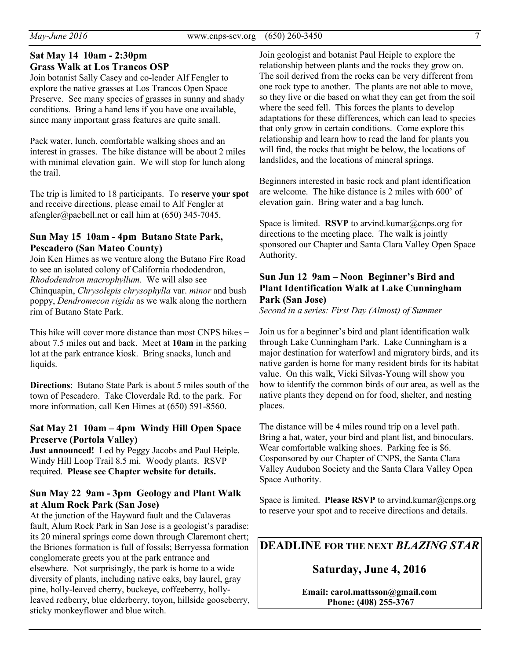## **Sat May 14 10am - 2:30pm Grass Walk at Los Trancos OSP**

Join botanist Sally Casey and co-leader Alf Fengler to explore the native grasses at Los Trancos Open Space Preserve. See many species of grasses in sunny and shady conditions. Bring a hand lens if you have one available, since many important grass features are quite small.

Pack water, lunch, comfortable walking shoes and an interest in grasses. The hike distance will be about 2 miles with minimal elevation gain. We will stop for lunch along the trail.

The trip is limited to 18 participants. To **reserve your spot**  and receive directions, please email to Alf Fengler at afengler@pacbell.net or call him at (650) 345-7045.

#### **Sun May 15 10am - 4pm Butano State Park, Pescadero (San Mateo County)**

Join Ken Himes as we venture along the Butano Fire Road to see an isolated colony of California rhododendron, *Rhododendron macrophyllum*. We will also see Chinquapin, *Chrysolepis chrysophylla* var. *minor* and bush poppy, *Dendromecon rigida* as we walk along the northern rim of Butano State Park.

This hike will cover more distance than most CNPS hikes – about 7.5 miles out and back. Meet at **10am** in the parking lot at the park entrance kiosk. Bring snacks, lunch and liquids.

**Directions**: Butano State Park is about 5 miles south of the town of Pescadero. Take Cloverdale Rd. to the park. For more information, call Ken Himes at (650) 591-8560.

## **Sat May 21 10am – 4pm Windy Hill Open Space Preserve (Portola Valley)**

**Just announced!** Led by Peggy Jacobs and Paul Heiple. Windy Hill Loop Trail 8.5 mi. Woody plants. RSVP required. **Please see Chapter website for details.**

#### **Sun May 22 9am - 3pm Geology and Plant Walk at Alum Rock Park (San Jose)**

At the junction of the Hayward fault and the Calaveras fault, Alum Rock Park in San Jose is a geologist's paradise: its 20 mineral springs come down through Claremont chert; the Briones formation is full of fossils; Berryessa formation conglomerate greets you at the park entrance and elsewhere. Not surprisingly, the park is home to a wide diversity of plants, including native oaks, bay laurel, gray pine, holly-leaved cherry, buckeye, coffeeberry, hollyleaved redberry, blue elderberry, toyon, hillside gooseberry, sticky monkeyflower and blue witch.

Join geologist and botanist Paul Heiple to explore the relationship between plants and the rocks they grow on. The soil derived from the rocks can be very different from one rock type to another. The plants are not able to move, so they live or die based on what they can get from the soil where the seed fell. This forces the plants to develop adaptations for these differences, which can lead to species that only grow in certain conditions. Come explore this relationship and learn how to read the land for plants you will find, the rocks that might be below, the locations of landslides, and the locations of mineral springs.

Beginners interested in basic rock and plant identification are welcome. The hike distance is 2 miles with 600' of elevation gain. Bring water and a bag lunch.

Space is limited. **RSVP** to arvind.kumar@cnps.org for directions to the meeting place. The walk is jointly sponsored our Chapter and Santa Clara Valley Open Space Authority.

## **Sun Jun 12 9am – Noon Beginner's Bird and Plant Identification Walk at Lake Cunningham Park (San Jose)**

*Second in a series: First Day (Almost) of Summer* 

Join us for a beginner's bird and plant identification walk through Lake Cunningham Park. Lake Cunningham is a major destination for waterfowl and migratory birds, and its native garden is home for many resident birds for its habitat value. On this walk, Vicki Silvas-Young will show you how to identify the common birds of our area, as well as the native plants they depend on for food, shelter, and nesting places.

The distance will be 4 miles round trip on a level path. Bring a hat, water, your bird and plant list, and binoculars. Wear comfortable walking shoes. Parking fee is \$6. Cosponsored by our Chapter of CNPS, the Santa Clara Valley Audubon Society and the Santa Clara Valley Open Space Authority.

Space is limited. **Please RSVP** to arvind.kumar@cnps.org to reserve your spot and to receive directions and details.

## **DEADLINE FOR THE NEXT** *BLAZING STAR*

## **Saturday, June 4, 2016**

**Email: carol.mattsson@gmail.com Phone: (408) 255-3767**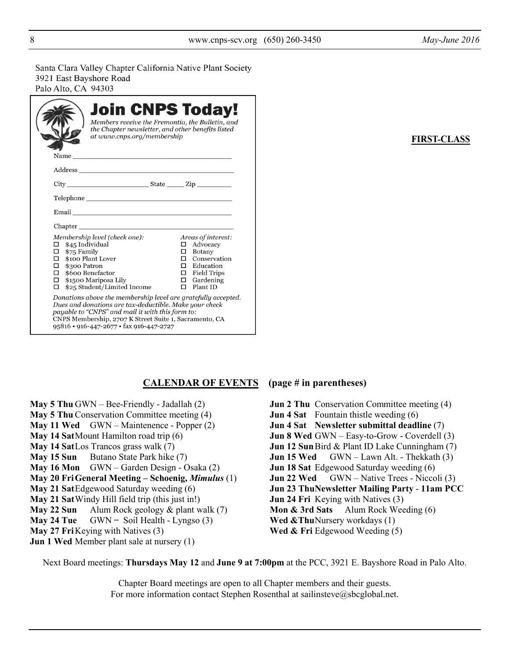Santa Clara Valley Chapter California Native Plant Society 3921 East Bayshore Road Palo Alto, CA 94303

|                                                                                                     | at www.cnps.org/membership                                                                                                                                                                                                                                                       |  | <b>Join CNPS Today!</b><br>Members receive the Fremontia, the Bulletin, and<br>the Chapter newsletter, and other benefits listed                               |  |  |  |
|-----------------------------------------------------------------------------------------------------|----------------------------------------------------------------------------------------------------------------------------------------------------------------------------------------------------------------------------------------------------------------------------------|--|----------------------------------------------------------------------------------------------------------------------------------------------------------------|--|--|--|
|                                                                                                     |                                                                                                                                                                                                                                                                                  |  |                                                                                                                                                                |  |  |  |
|                                                                                                     |                                                                                                                                                                                                                                                                                  |  |                                                                                                                                                                |  |  |  |
|                                                                                                     |                                                                                                                                                                                                                                                                                  |  |                                                                                                                                                                |  |  |  |
|                                                                                                     | Email <u>contract the contract of the contract of the contract of the contract of the contract of the contract of</u>                                                                                                                                                            |  |                                                                                                                                                                |  |  |  |
|                                                                                                     |                                                                                                                                                                                                                                                                                  |  |                                                                                                                                                                |  |  |  |
| \$45 Individual<br>□<br>\$75 Family<br>□<br>П<br>\$300 Patron<br>П.<br>$\Box$ \$600 Benefactor<br>п | Membership level (check one):<br>\$100 Plant Lover<br>$\Box$ \$1500 Mariposa Lily<br>\$25 Student/Limited Income                                                                                                                                                                 |  | Areas of interest:<br>$\Box$ Advocacy<br>$\Box$ Botany<br>$\Box$ Conservation<br>$\Box$ Education<br>$\Box$ Field Trips<br>$\Box$ Gardening<br>$\Box$ Plant ID |  |  |  |
|                                                                                                     | Donations above the membership level are gratefully accepted.<br>Dues and donations are tax-deductible. Make your check<br>payable to "CNPS" and mail it with this form to:<br>CNPS Membership, 2707 K Street Suite 1, Sacramento, CA<br>95816 · 916-447-2677 · fax 916-447-2727 |  |                                                                                                                                                                |  |  |  |

#### **FIRST-CLASS**

#### **CALENDAR OF EVENTS (page # in parentheses)**

- **May 5 Thu** GWN Bee-Friendly Jadallah (2) **May 5 Thu** Conservation Committee meeting (4) **May 11 Wed** GWN – Maintenence - Popper (2) **May 14 Sat** Mount Hamilton road trip (6) **May 14 Sat** Los Trancos grass walk (7) **May 15 Sun** Butano State Park hike (7) **May 16 Mon** GWN – Garden Design - Osaka (2) **May 20 FriGeneral Meeting – Schoenig,** *Mimulus* (1) **May 21 Sat** Edgewood Saturday weeding (6) **May 21 Sat** Windy Hill field trip (this just in!) **May 22 Sun** Alum Rock geology & plant walk (7) **May 24 Tue** GWN – Soil Health - Lyngso (3) **May 27 Fri** Keying with Natives (3) **Jun 1 Wed** Member plant sale at nursery (1)
- **Jun 2 Thu** Conservation Committee meeting (4) **Jun 4 Sat** Fountain thistle weeding (6) **Jun 4 Sat Newsletter submittal deadline** (7) **Jun 8 Wed** GWN – Easy-to-Grow - Coverdell (3) **Jun 12 Sun** Bird & Plant ID Lake Cunningham (7) **Jun 15 Wed** GWN – Lawn Alt. - Thekkath (3) **Jun 18 Sat** Edgewood Saturday weeding (6) **Jun 22 Wed** GWN – Native Trees - Niccoli (3) **Jun 23 ThuNewsletter Mailing Party** - **11am PCC Jun 24 Fri** Keying with Natives (3) **Mon & 3rd Sats** Alum Rock Weeding (6) **Wed &Thu Nursery workdays (1)** Wed & Fri Edgewood Weeding (5)

Next Board meetings: **Thursdays May 12** and **June 9 at 7:00pm** at the PCC, 3921 E. Bayshore Road in Palo Alto.

Chapter Board meetings are open to all Chapter members and their guests. For more information contact Stephen Rosenthal at sailinsteve@sbcglobal.net.